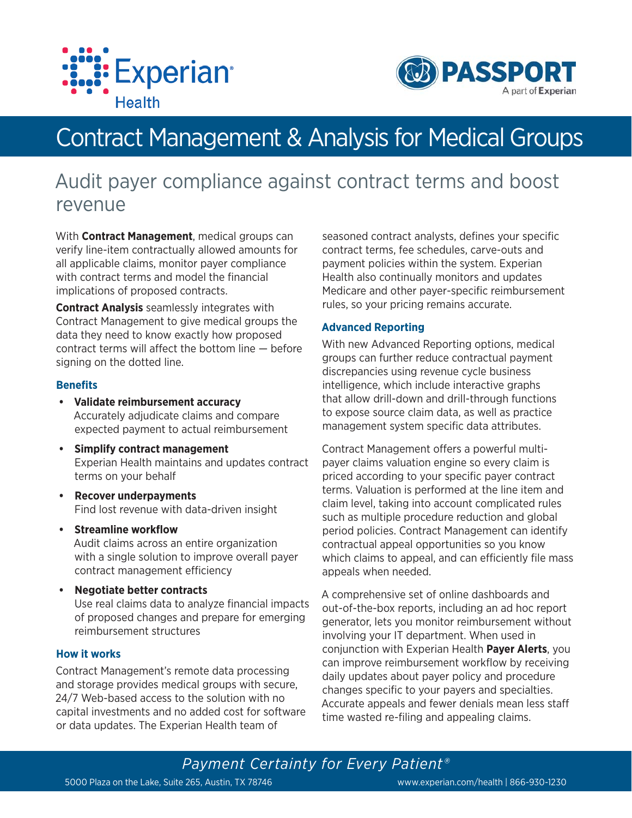



# Contract Management & Analysis for Medical Groups

# Audit payer compliance against contract terms and boost revenue

With **Contract Management**, medical groups can verify line-item contractually allowed amounts for all applicable claims, monitor payer compliance with contract terms and model the financial implications of proposed contracts.

**Contract Analysis** seamlessly integrates with Contract Management to give medical groups the data they need to know exactly how proposed contract terms will affect the bottom line  $-$  before signing on the dotted line.

### **Benefits**

- **Validate reimbursement accuracy** Accurately adjudicate claims and compare expected payment to actual reimbursement
- **Simplify contract management** Experian Health maintains and updates contract terms on your behalf
- **Recover underpayments** Find lost revenue with data-driven insight
- **Streamline workflow** Audit claims across an entire organization with a single solution to improve overall payer contract management efficiency
- **Negotiate better contracts** Use real claims data to analyze financial impacts of proposed changes and prepare for emerging reimbursement structures

## **How it works**

Contract Management's remote data processing and storage provides medical groups with secure, 24/7 Web-based access to the solution with no capital investments and no added cost for software or data updates. The Experian Health team of

seasoned contract analysts, defines your specific contract terms, fee schedules, carve-outs and payment policies within the system. Experian Health also continually monitors and updates Medicare and other payer-specific reimbursement rules, so your pricing remains accurate.

### **Advanced Reporting**

With new Advanced Reporting options, medical groups can further reduce contractual payment discrepancies using revenue cycle business intelligence, which include interactive graphs that allow drill-down and drill-through functions to expose source claim data, as well as practice management system specific data attributes.

Contract Management offers a powerful multipayer claims valuation engine so every claim is priced according to your specific payer contract terms. Valuation is performed at the line item and claim level, taking into account complicated rules such as multiple procedure reduction and global period policies. Contract Management can identify contractual appeal opportunities so you know which claims to appeal, and can efficiently file mass appeals when needed.

A comprehensive set of online dashboards and out-of-the-box reports, including an ad hoc report generator, lets you monitor reimbursement without involving your IT department. When used in conjunction with Experian Health **Payer Alerts**, you can improve reimbursement workflow by receiving daily updates about payer policy and procedure changes specific to your payers and specialties. Accurate appeals and fewer denials mean less staff time wasted re-filing and appealing claims.

*Payment Certainty for Every Patient®* 5000 Plaza on the Lake, Suite 265, Austin, TX 78746 www.experian.com/health | 866-930-1230